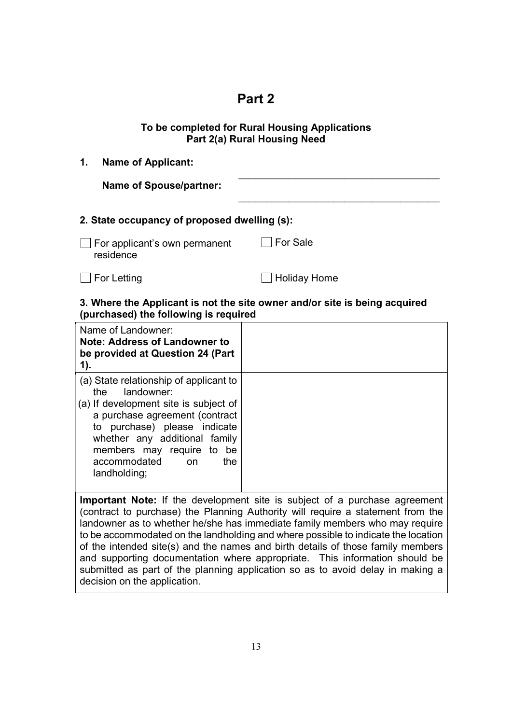# Part 2

## To be completed for Rural Housing Applications Part 2(a) Rural Housing Need

| 1.<br><b>Name of Applicant:</b>                                                                                     |                     |
|---------------------------------------------------------------------------------------------------------------------|---------------------|
| <b>Name of Spouse/partner:</b>                                                                                      |                     |
| 2. State occupancy of proposed dwelling (s):                                                                        |                     |
| For applicant's own permanent<br>residence                                                                          | <b>For Sale</b>     |
| For Letting                                                                                                         | <b>Holiday Home</b> |
| 3. Where the Applicant is not the site owner and/or site is being acquired<br>(purchased) the following is required |                     |
| Name of Landowner:<br>Note: Address of Landowner to                                                                 |                     |

| <b>Note: Address of Landowner to</b><br>be provided at Question 24 (Part<br>1).                                                                                                                                                                                                    |  |
|------------------------------------------------------------------------------------------------------------------------------------------------------------------------------------------------------------------------------------------------------------------------------------|--|
| (a) State relationship of applicant to<br>landowner:<br>the<br>(a) If development site is subject of<br>a purchase agreement (contract<br>to purchase) please indicate<br>whether any additional family<br>members may require to be<br>accommodated<br>the<br>on.<br>landholding; |  |
| <b>Important Note:</b> If the development site is subject of a purchase agreement<br>(contract to purchase) the Planning Authority will require a statement from the                                                                                                               |  |

(contract to purchase) the Planning Authority will require a statement from the landowner as to whether he/she has immediate family members who may require to be accommodated on the landholding and where possible to indicate the location of the intended site(s) and the names and birth details of those family members and supporting documentation where appropriate. This information should be submitted as part of the planning application so as to avoid delay in making a decision on the application.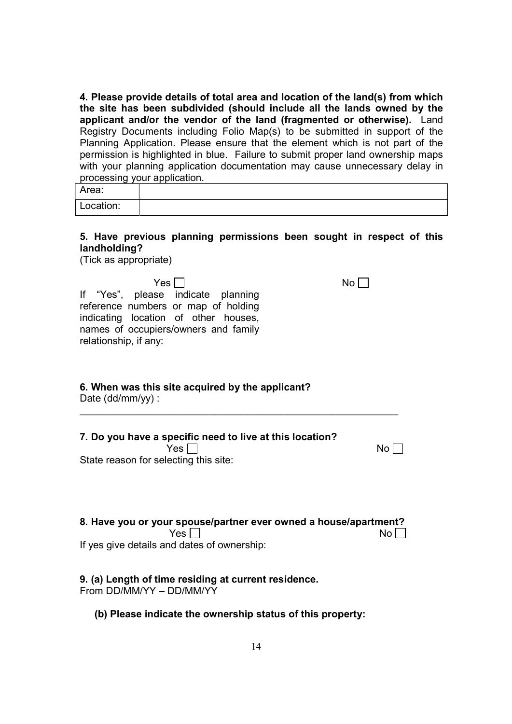4. Please provide details of total area and location of the land(s) from which the site has been subdivided (should include all the lands owned by the applicant and/or the vendor of the land (fragmented or otherwise). Land Registry Documents including Folio Map(s) to be submitted in support of the Planning Application. Please ensure that the element which is not part of the permission is highlighted in blue. Failure to submit proper land ownership maps with your planning application documentation may cause unnecessary delay in processing your application.

| Area:     |  |
|-----------|--|
| Location: |  |

### 5. Have previous planning permissions been sought in respect of this landholding?

(Tick as appropriate)

 $Yes \Box$ If "Yes", please indicate planning reference numbers or map of holding indicating location of other houses, names of occupiers/owners and family relationship, if any:

## 6. When was this site acquired by the applicant?

Date (dd/mm/yy) :

| 7. Do you have a specific need to live at this location? |                 |
|----------------------------------------------------------|-----------------|
| Yes $\Box$                                               | No <sub>l</sub> |
| State reason for selecting this site:                    |                 |

 $\overline{\mathcal{L}}$  , and the contribution of the contribution of the contribution of the contribution of the contribution of the contribution of the contribution of the contribution of the contribution of the contribution of the

| 8. Have you or your spouse/partner ever owned a house/apartment? |           |
|------------------------------------------------------------------|-----------|
| Yes $\Box$                                                       | $No \Box$ |
| If yes give details and dates of ownership:                      |           |

## 9. (a) Length of time residing at current residence.

From DD/MM/YY – DD/MM/YY

(b) Please indicate the ownership status of this property: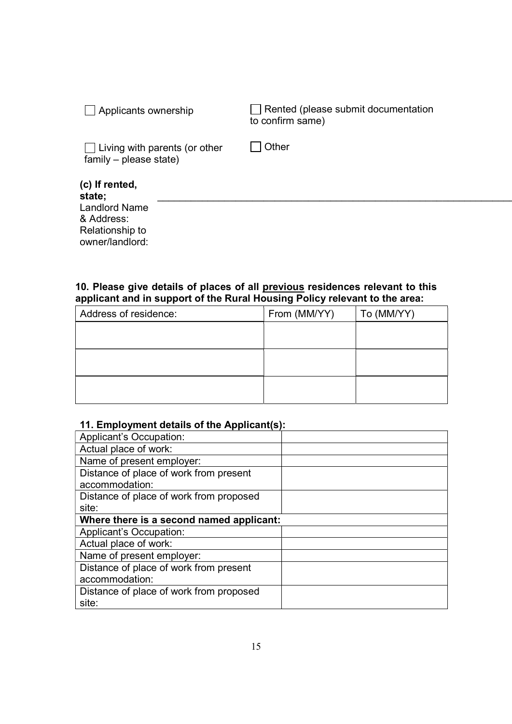| Applicants ownership                                           | Rented (please submit documentation<br>to confirm same) |
|----------------------------------------------------------------|---------------------------------------------------------|
| $\Box$ Living with parents (or other<br>family – please state) | Other                                                   |
| (c) If rented,<br>state;                                       |                                                         |
| <b>Landlord Name</b>                                           |                                                         |
| & Address:                                                     |                                                         |
| Relationship to                                                |                                                         |
| owner/landlord:                                                |                                                         |

### 10. Please give details of places of all previous residences relevant to this applicant and in support of the Rural Housing Policy relevant to the area:

| Address of residence: | From (MM/YY) | To (MM/YY) |
|-----------------------|--------------|------------|
|                       |              |            |
|                       |              |            |
|                       |              |            |
|                       |              |            |
|                       |              |            |
|                       |              |            |

## 11. Employment details of the Applicant(s):

| <b>Applicant's Occupation:</b>           |  |
|------------------------------------------|--|
| Actual place of work:                    |  |
| Name of present employer:                |  |
| Distance of place of work from present   |  |
| accommodation:                           |  |
| Distance of place of work from proposed  |  |
| site:                                    |  |
| Where there is a second named applicant: |  |
| Applicant's Occupation:                  |  |
| Actual place of work:                    |  |
| Name of present employer:                |  |
| Distance of place of work from present   |  |
| accommodation:                           |  |
| Distance of place of work from proposed  |  |
| site:                                    |  |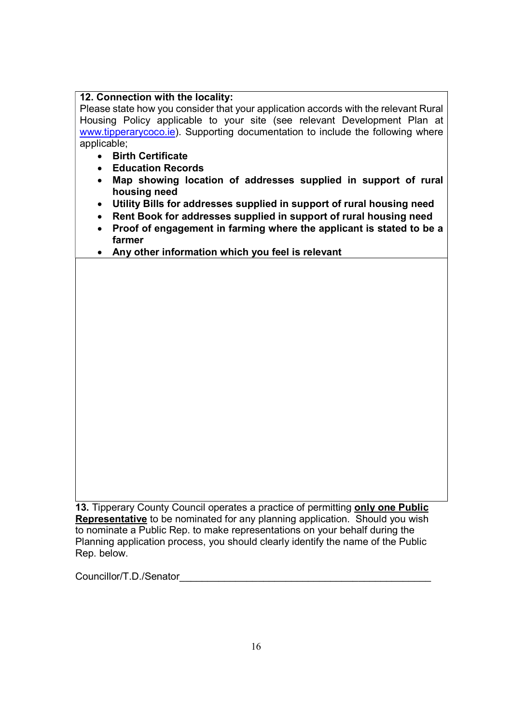## 12. Connection with the locality:

Please state how you consider that your application accords with the relevant Rural Housing Policy applicable to your site (see relevant Development Plan at www.tipperarycoco.ie). Supporting documentation to include the following where applicable;

- Birth Certificate
- Education Records
- Map showing location of addresses supplied in support of rural housing need
- Utility Bills for addresses supplied in support of rural housing need
- Rent Book for addresses supplied in support of rural housing need
- Proof of engagement in farming where the applicant is stated to be a farmer
- Any other information which you feel is relevant

13. Tipperary County Council operates a practice of permitting only one Public Representative to be nominated for any planning application. Should you wish to nominate a Public Rep. to make representations on your behalf during the Planning application process, you should clearly identify the name of the Public Rep. below.

Councillor/T.D./Senator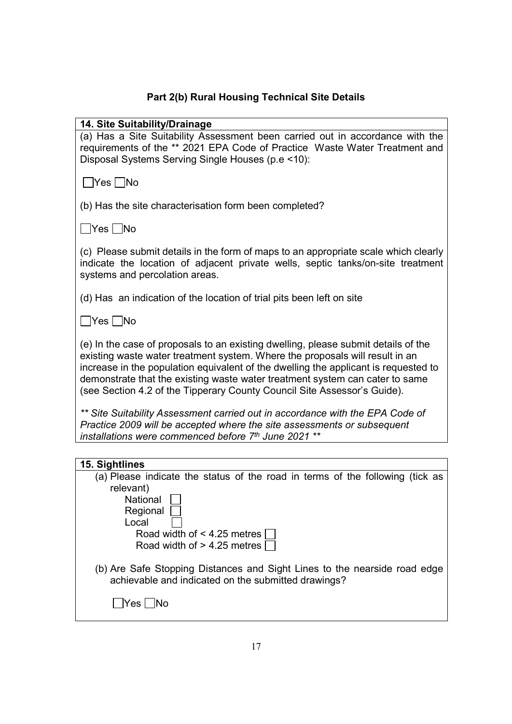## Part 2(b) Rural Housing Technical Site Details

#### 14. Site Suitability/Drainage

(a) Has a Site Suitability Assessment been carried out in accordance with the requirements of the \*\* 2021 EPA Code of Practice Waste Water Treatment and Disposal Systems Serving Single Houses (p.e <10):

 $\Box$ Yes  $\Box$ No

(b) Has the site characterisation form been completed?

 $\Box$ Yes  $\Box$ No

(c) Please submit details in the form of maps to an appropriate scale which clearly indicate the location of adjacent private wells, septic tanks/on-site treatment systems and percolation areas.

(d) Has an indication of the location of trial pits been left on site

 $\Box$ Yes  $\Box$ No

(e) In the case of proposals to an existing dwelling, please submit details of the existing waste water treatment system. Where the proposals will result in an increase in the population equivalent of the dwelling the applicant is requested to demonstrate that the existing waste water treatment system can cater to same (see Section 4.2 of the Tipperary County Council Site Assessor's Guide).

\*\* Site Suitability Assessment carried out in accordance with the EPA Code of Practice 2009 will be accepted where the site assessments or subsequent installations were commenced before  $7<sup>th</sup>$  June 2021  $**$ 

| 15. Sightlines                                                                |
|-------------------------------------------------------------------------------|
| (a) Please indicate the status of the road in terms of the following (tick as |
| relevant)                                                                     |
| National                                                                      |
| Regional                                                                      |
| Local                                                                         |
| Road width of < 4.25 metres                                                   |
| Road width of $>$ 4.25 metres [                                               |
|                                                                               |
| (b) Are Safe Stopping Distances and Sight Lines to the nearside road edge     |
| achievable and indicated on the submitted drawings?                           |
|                                                                               |
| Yes                                                                           |
|                                                                               |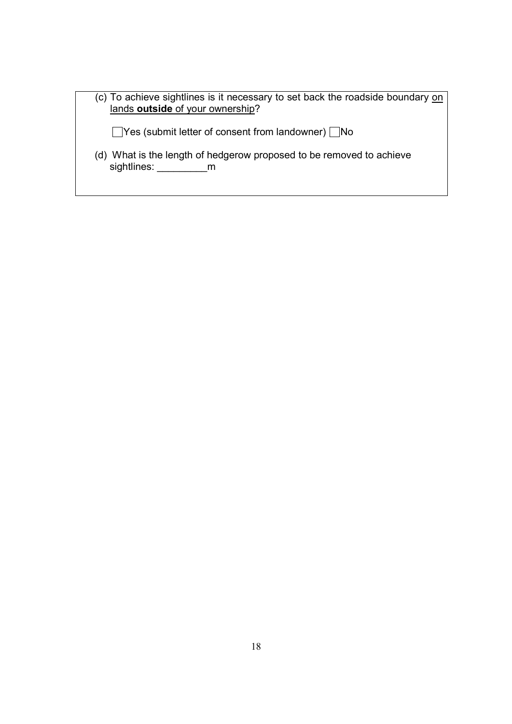(c) To achieve sightlines is it necessary to set back the roadside boundary on lands outside of your ownership?  $\Box$ Yes (submit letter of consent from landowner)  $\Box$ No (d) What is the length of hedgerow proposed to be removed to achieve sightlines: \_\_\_\_\_\_\_\_\_\_\_\_m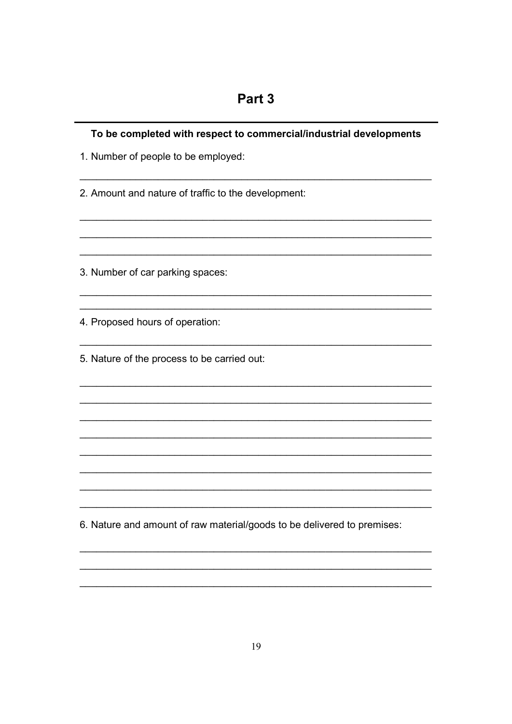| To be completed with respect to commercial/industrial developments      |  |
|-------------------------------------------------------------------------|--|
| 1. Number of people to be employed:                                     |  |
| 2. Amount and nature of traffic to the development:                     |  |
| 3. Number of car parking spaces:                                        |  |
| 4. Proposed hours of operation:                                         |  |
| 5. Nature of the process to be carried out:                             |  |
|                                                                         |  |
|                                                                         |  |
|                                                                         |  |
| 6. Nature and amount of raw material/goods to be delivered to premises: |  |
|                                                                         |  |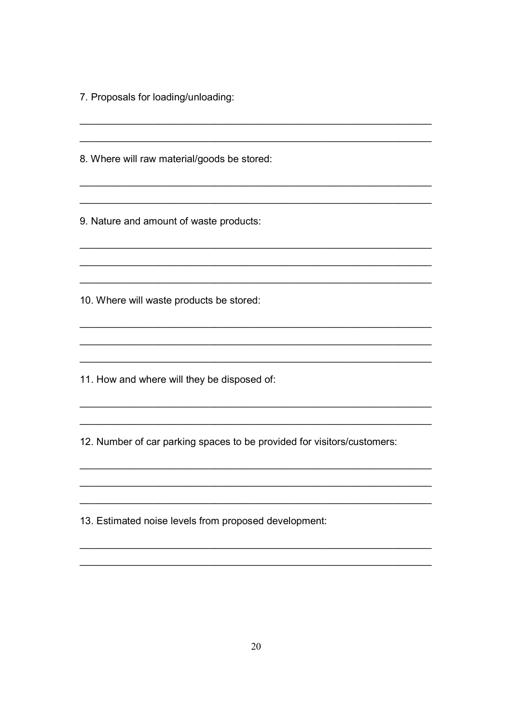7. Proposals for loading/unloading:

8. Where will raw material/goods be stored:

9. Nature and amount of waste products:

10. Where will waste products be stored:

11. How and where will they be disposed of:

12. Number of car parking spaces to be provided for visitors/customers:

13. Estimated noise levels from proposed development: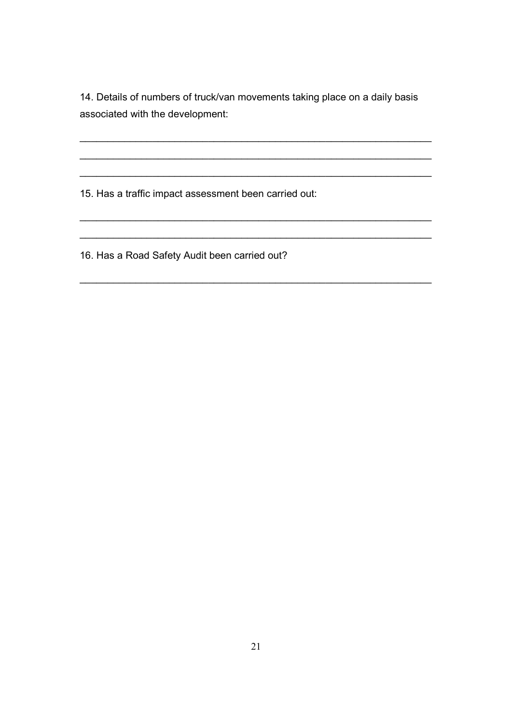14. Details of numbers of truck/van movements taking place on a daily basis associated with the development:

 $\mathcal{L}_\mathcal{L}$  , and the contribution of the contribution of the contribution of the contribution of the contribution of the contribution of the contribution of the contribution of the contribution of the contribution of

\_\_\_\_\_\_\_\_\_\_\_\_\_\_\_\_\_\_\_\_\_\_\_\_\_\_\_\_\_\_\_\_\_\_\_\_\_\_\_\_\_\_\_\_\_\_\_\_\_\_\_\_\_\_\_\_\_\_\_\_\_\_\_

\_\_\_\_\_\_\_\_\_\_\_\_\_\_\_\_\_\_\_\_\_\_\_\_\_\_\_\_\_\_\_\_\_\_\_\_\_\_\_\_\_\_\_\_\_\_\_\_\_\_\_\_\_\_\_\_\_\_\_\_\_\_\_

 $\mathcal{L}_\mathcal{L}$  , and the contribution of the contribution of the contribution of the contribution of the contribution of the contribution of the contribution of the contribution of the contribution of the contribution of

\_\_\_\_\_\_\_\_\_\_\_\_\_\_\_\_\_\_\_\_\_\_\_\_\_\_\_\_\_\_\_\_\_\_\_\_\_\_\_\_\_\_\_\_\_\_\_\_\_\_\_\_\_\_\_\_\_\_\_\_\_\_\_

\_\_\_\_\_\_\_\_\_\_\_\_\_\_\_\_\_\_\_\_\_\_\_\_\_\_\_\_\_\_\_\_\_\_\_\_\_\_\_\_\_\_\_\_\_\_\_\_\_\_\_\_\_\_\_\_\_\_\_\_\_\_\_

15. Has a traffic impact assessment been carried out:

16. Has a Road Safety Audit been carried out?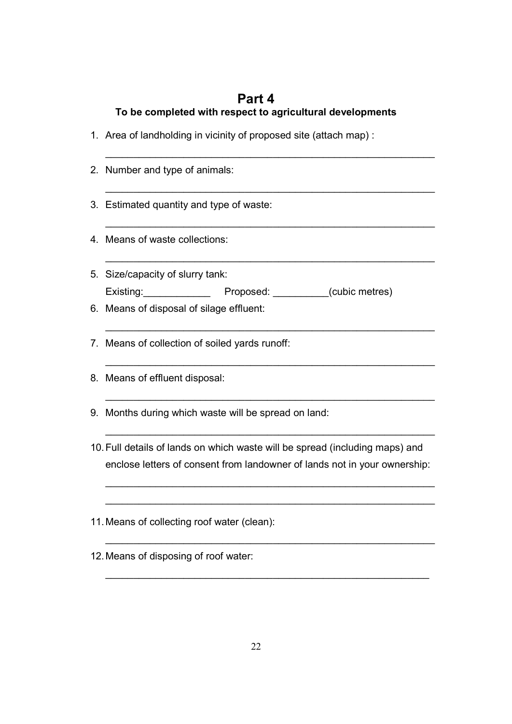## Part 4 To be completed with respect to agricultural developments

\_\_\_\_\_\_\_\_\_\_\_\_\_\_\_\_\_\_\_\_\_\_\_\_\_\_\_\_\_\_\_\_\_\_\_\_\_\_\_\_\_\_\_\_\_\_\_\_\_\_\_\_\_\_\_\_\_\_\_

\_\_\_\_\_\_\_\_\_\_\_\_\_\_\_\_\_\_\_\_\_\_\_\_\_\_\_\_\_\_\_\_\_\_\_\_\_\_\_\_\_\_\_\_\_\_\_\_\_\_\_\_\_\_\_\_\_\_\_

 $\mathcal{L}_\mathcal{L}$  , and the contribution of the contribution of the contribution of the contribution of the contribution of the contribution of the contribution of the contribution of the contribution of the contribution of

\_\_\_\_\_\_\_\_\_\_\_\_\_\_\_\_\_\_\_\_\_\_\_\_\_\_\_\_\_\_\_\_\_\_\_\_\_\_\_\_\_\_\_\_\_\_\_\_\_\_\_\_\_\_\_\_\_\_\_

\_\_\_\_\_\_\_\_\_\_\_\_\_\_\_\_\_\_\_\_\_\_\_\_\_\_\_\_\_\_\_\_\_\_\_\_\_\_\_\_\_\_\_\_\_\_\_\_\_\_\_\_\_\_\_\_\_\_\_

 $\mathcal{L}_\mathcal{L}$  , and the contribution of the contribution of the contribution of the contribution of the contribution of the contribution of the contribution of the contribution of the contribution of the contribution of

\_\_\_\_\_\_\_\_\_\_\_\_\_\_\_\_\_\_\_\_\_\_\_\_\_\_\_\_\_\_\_\_\_\_\_\_\_\_\_\_\_\_\_\_\_\_\_\_\_\_\_\_\_\_\_\_\_\_\_

 $\mathcal{L}_\mathcal{L}$  , and the contribution of the contribution of the contribution of the contribution of the contribution of the contribution of the contribution of the contribution of the contribution of the contribution of

 $\mathcal{L}_\mathcal{L}$  , and the contribution of the contribution of the contribution of the contribution of the contribution of the contribution of the contribution of the contribution of the contribution of the contribution of

 $\mathcal{L}_\mathcal{L}$  , and the contribution of the contribution of the contribution of the contribution of the contribution of the contribution of the contribution of the contribution of the contribution of the contribution of

 $\mathcal{L}_\mathcal{L}$  , and the contribution of the contribution of the contribution of the contribution of the contribution of the contribution of the contribution of the contribution of the contribution of the contribution of

\_\_\_\_\_\_\_\_\_\_\_\_\_\_\_\_\_\_\_\_\_\_\_\_\_\_\_\_\_\_\_\_\_\_\_\_\_\_\_\_\_\_\_\_\_\_\_\_\_\_\_\_\_\_\_\_\_\_

- 1. Area of landholding in vicinity of proposed site (attach map) :
- 2. Number and type of animals:
- 3. Estimated quantity and type of waste:
- 4. Means of waste collections:
- 5. Size/capacity of slurry tank: Existing: \_\_\_\_\_\_\_\_\_\_\_\_\_\_\_\_ Proposed: \_\_\_\_\_\_\_\_\_\_(cubic metres)
- 6. Means of disposal of silage effluent:
- 7. Means of collection of soiled yards runoff:
- 8. Means of effluent disposal:
- 9. Months during which waste will be spread on land:
- 10. Full details of lands on which waste will be spread (including maps) and enclose letters of consent from landowner of lands not in your ownership:
- 11. Means of collecting roof water (clean):
- 12. Means of disposing of roof water: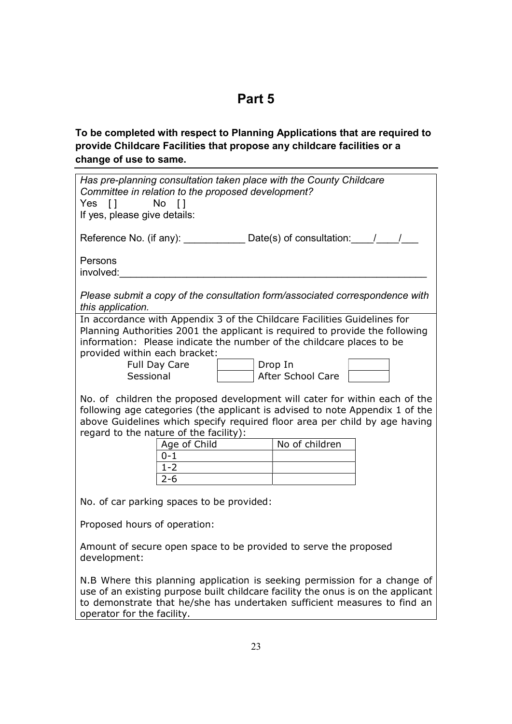# Part 5

To be completed with respect to Planning Applications that are required to provide Childcare Facilities that propose any childcare facilities or a change of use to same.

| Has pre-planning consultation taken place with the County Childcare<br>Committee in relation to the proposed development?<br>No []<br>Yes []<br>If yes, please give details:                                                                                                                                                                                                                                                                                                                                                                                                                                                                                                              |  |  |
|-------------------------------------------------------------------------------------------------------------------------------------------------------------------------------------------------------------------------------------------------------------------------------------------------------------------------------------------------------------------------------------------------------------------------------------------------------------------------------------------------------------------------------------------------------------------------------------------------------------------------------------------------------------------------------------------|--|--|
| Reference No. (if any): $\sqrt{2}$ Date(s) of consultation: $\sqrt{2}$                                                                                                                                                                                                                                                                                                                                                                                                                                                                                                                                                                                                                    |  |  |
| Persons<br>involved:                                                                                                                                                                                                                                                                                                                                                                                                                                                                                                                                                                                                                                                                      |  |  |
| Please submit a copy of the consultation form/associated correspondence with<br>this application.                                                                                                                                                                                                                                                                                                                                                                                                                                                                                                                                                                                         |  |  |
| In accordance with Appendix 3 of the Childcare Facilities Guidelines for<br>Planning Authorities 2001 the applicant is required to provide the following<br>information: Please indicate the number of the childcare places to be<br>provided within each bracket:<br>Drop In<br>Full Day Care<br>Sessional<br>After School Care<br>No. of children the proposed development will cater for within each of the<br>following age categories (the applicant is advised to note Appendix 1 of the<br>above Guidelines which specify required floor area per child by age having<br>regard to the nature of the facility):<br>No of children<br>Age of Child<br>$0 - 1$<br>$1 - 2$<br>$2 - 6$ |  |  |
| No. of car parking spaces to be provided:                                                                                                                                                                                                                                                                                                                                                                                                                                                                                                                                                                                                                                                 |  |  |
| Proposed hours of operation:                                                                                                                                                                                                                                                                                                                                                                                                                                                                                                                                                                                                                                                              |  |  |
| Amount of secure open space to be provided to serve the proposed<br>development:                                                                                                                                                                                                                                                                                                                                                                                                                                                                                                                                                                                                          |  |  |
| N.B Where this planning application is seeking permission for a change of<br>use of an existing purpose built childcare facility the onus is on the applicant<br>to demonstrate that he/she has undertaken sufficient measures to find an<br>operator for the facility.                                                                                                                                                                                                                                                                                                                                                                                                                   |  |  |